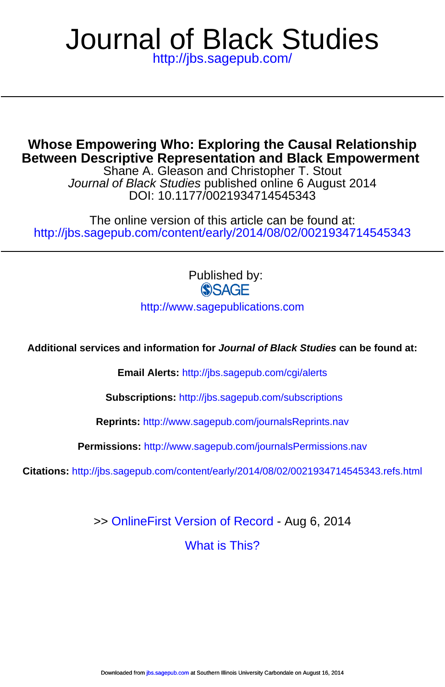# <http://jbs.sagepub.com/> Journal of Black Studies

**Between Descriptive Representation and Black Empowerment Whose Empowering Who: Exploring the Causal Relationship**

DOI: 10.1177/0021934714545343 Journal of Black Studies published online 6 August 2014 Shane A. Gleason and Christopher T. Stout

<http://jbs.sagepub.com/content/early/2014/08/02/0021934714545343> The online version of this article can be found at:

> Published by:<br>
> SAGE <http://www.sagepublications.com>

**Additional services and information for Journal of Black Studies can be found at:**

**Email Alerts:** <http://jbs.sagepub.com/cgi/alerts>

**Subscriptions:** <http://jbs.sagepub.com/subscriptions>

**Reprints:** <http://www.sagepub.com/journalsReprints.nav>

**Permissions:** <http://www.sagepub.com/journalsPermissions.nav>

**Citations:** <http://jbs.sagepub.com/content/early/2014/08/02/0021934714545343.refs.html>

>> [OnlineFirst Version of Record -](http://jbs.sagepub.com/content/early/2014/08/02/0021934714545343.full.pdf) Aug 6, 2014

[What is This?](http://online.sagepub.com/site/sphelp/vorhelp.xhtml)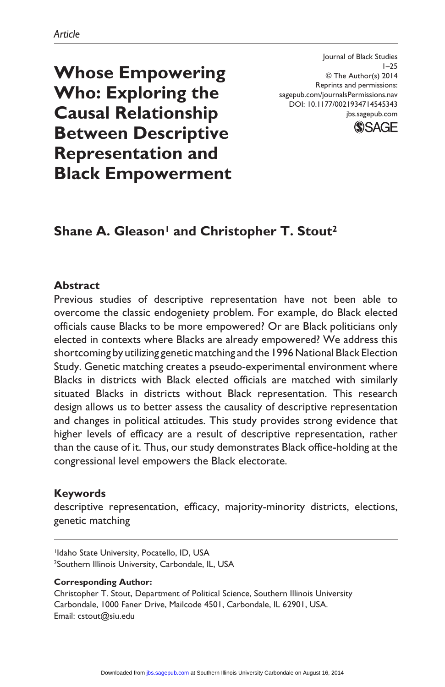**Whose Empowering Who: Exploring the Causal Relationship Between Descriptive Representation and Black Empowerment**

# **Shane A. Gleason<sup>1</sup> and Christopher T. Stout<sup>2</sup>**

#### **Abstract**

Previous studies of descriptive representation have not been able to overcome the classic endogeniety problem. For example, do Black elected officials cause Blacks to be more empowered? Or are Black politicians only elected in contexts where Blacks are already empowered? We address this shortcoming by utilizing genetic matching and the 1996 National Black Election Study. Genetic matching creates a pseudo-experimental environment where Blacks in districts with Black elected officials are matched with similarly situated Blacks in districts without Black representation. This research design allows us to better assess the causality of descriptive representation and changes in political attitudes. This study provides strong evidence that higher levels of efficacy are a result of descriptive representation, rather than the cause of it. Thus, our study demonstrates Black office-holding at the congressional level empowers the Black electorate.

#### **Keywords**

descriptive representation, efficacy, majority-minority districts, elections, genetic matching

#### **Corresponding Author:**

Christopher T. Stout, Department of Political Science, Southern Illinois University Carbondale, 1000 Faner Drive, Mailcode 4501, Carbondale, IL 62901, USA. Email: cstout@siu.edu



Journal of Black Studies  $1 - 25$ © The Author(s) 2014 Reprints and permissions: sagepub.com/journalsPermissions.nav DOI: 10.1177/0021934714545343 jbs.sagepub.com

<sup>&</sup>lt;sup>1</sup>Idaho State University, Pocatello, ID, USA 2Southern Illinois University, Carbondale, IL, USA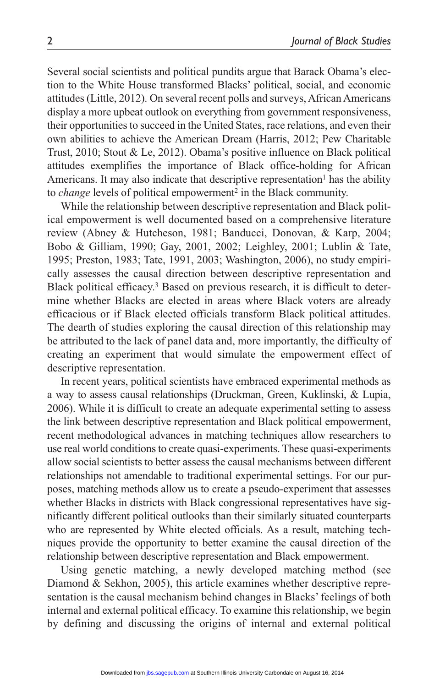Several social scientists and political pundits argue that Barack Obama's election to the White House transformed Blacks' political, social, and economic attitudes (Little, 2012). On several recent polls and surveys, African Americans display a more upbeat outlook on everything from government responsiveness, their opportunities to succeed in the United States, race relations, and even their own abilities to achieve the American Dream (Harris, 2012; Pew Charitable Trust, 2010; Stout & Le, 2012). Obama's positive influence on Black political attitudes exemplifies the importance of Black office-holding for African Americans. It may also indicate that descriptive representation<sup>1</sup> has the ability to *change* levels of political empowerment2 in the Black community.

While the relationship between descriptive representation and Black political empowerment is well documented based on a comprehensive literature review (Abney & Hutcheson, 1981; Banducci, Donovan, & Karp, 2004; Bobo & Gilliam, 1990; Gay, 2001, 2002; Leighley, 2001; Lublin & Tate, 1995; Preston, 1983; Tate, 1991, 2003; Washington, 2006), no study empirically assesses the causal direction between descriptive representation and Black political efficacy.3 Based on previous research, it is difficult to determine whether Blacks are elected in areas where Black voters are already efficacious or if Black elected officials transform Black political attitudes. The dearth of studies exploring the causal direction of this relationship may be attributed to the lack of panel data and, more importantly, the difficulty of creating an experiment that would simulate the empowerment effect of descriptive representation.

In recent years, political scientists have embraced experimental methods as a way to assess causal relationships (Druckman, Green, Kuklinski, & Lupia, 2006). While it is difficult to create an adequate experimental setting to assess the link between descriptive representation and Black political empowerment, recent methodological advances in matching techniques allow researchers to use real world conditions to create quasi-experiments. These quasi-experiments allow social scientists to better assess the causal mechanisms between different relationships not amendable to traditional experimental settings. For our purposes, matching methods allow us to create a pseudo-experiment that assesses whether Blacks in districts with Black congressional representatives have significantly different political outlooks than their similarly situated counterparts who are represented by White elected officials. As a result, matching techniques provide the opportunity to better examine the causal direction of the relationship between descriptive representation and Black empowerment.

Using genetic matching, a newly developed matching method (see Diamond & Sekhon, 2005), this article examines whether descriptive representation is the causal mechanism behind changes in Blacks' feelings of both internal and external political efficacy. To examine this relationship, we begin by defining and discussing the origins of internal and external political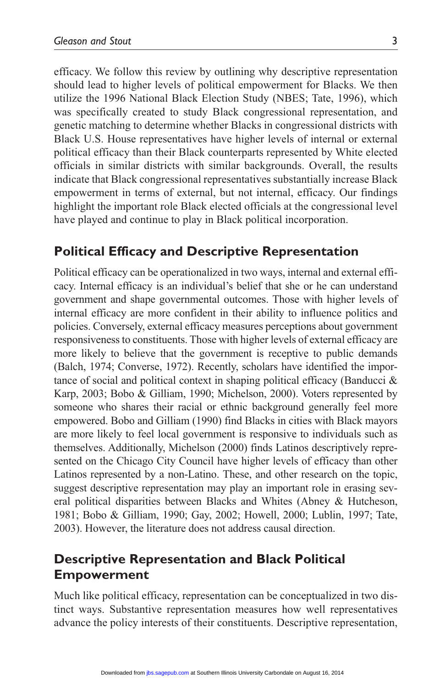efficacy. We follow this review by outlining why descriptive representation should lead to higher levels of political empowerment for Blacks. We then utilize the 1996 National Black Election Study (NBES; Tate, 1996), which was specifically created to study Black congressional representation, and genetic matching to determine whether Blacks in congressional districts with Black U.S. House representatives have higher levels of internal or external political efficacy than their Black counterparts represented by White elected officials in similar districts with similar backgrounds. Overall, the results indicate that Black congressional representatives substantially increase Black empowerment in terms of external, but not internal, efficacy. Our findings highlight the important role Black elected officials at the congressional level have played and continue to play in Black political incorporation.

## **Political Efficacy and Descriptive Representation**

Political efficacy can be operationalized in two ways, internal and external efficacy. Internal efficacy is an individual's belief that she or he can understand government and shape governmental outcomes. Those with higher levels of internal efficacy are more confident in their ability to influence politics and policies. Conversely, external efficacy measures perceptions about government responsiveness to constituents. Those with higher levels of external efficacy are more likely to believe that the government is receptive to public demands (Balch, 1974; Converse, 1972). Recently, scholars have identified the importance of social and political context in shaping political efficacy (Banducci & Karp, 2003; Bobo & Gilliam, 1990; Michelson, 2000). Voters represented by someone who shares their racial or ethnic background generally feel more empowered. Bobo and Gilliam (1990) find Blacks in cities with Black mayors are more likely to feel local government is responsive to individuals such as themselves. Additionally, Michelson (2000) finds Latinos descriptively represented on the Chicago City Council have higher levels of efficacy than other Latinos represented by a non-Latino. These, and other research on the topic, suggest descriptive representation may play an important role in erasing several political disparities between Blacks and Whites (Abney & Hutcheson, 1981; Bobo & Gilliam, 1990; Gay, 2002; Howell, 2000; Lublin, 1997; Tate, 2003). However, the literature does not address causal direction.

# **Descriptive Representation and Black Political Empowerment**

Much like political efficacy, representation can be conceptualized in two distinct ways. Substantive representation measures how well representatives advance the policy interests of their constituents. Descriptive representation,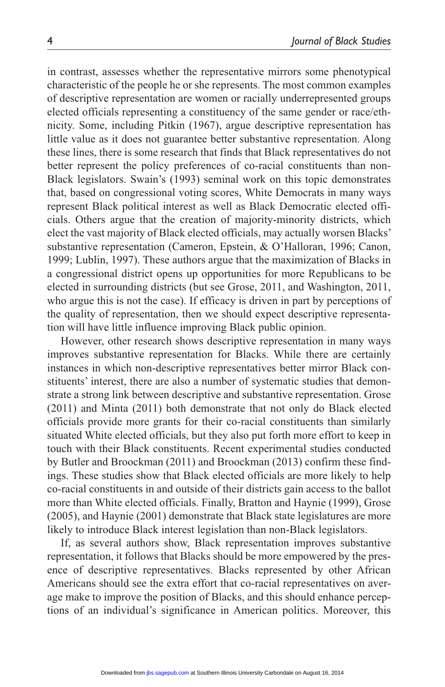in contrast, assesses whether the representative mirrors some phenotypical characteristic of the people he or she represents. The most common examples of descriptive representation are women or racially underrepresented groups elected officials representing a constituency of the same gender or race/ethnicity. Some, including Pitkin (1967), argue descriptive representation has little value as it does not guarantee better substantive representation. Along these lines, there is some research that finds that Black representatives do not better represent the policy preferences of co-racial constituents than non-Black legislators. Swain's (1993) seminal work on this topic demonstrates that, based on congressional voting scores, White Democrats in many ways represent Black political interest as well as Black Democratic elected officials. Others argue that the creation of majority-minority districts, which elect the vast majority of Black elected officials, may actually worsen Blacks' substantive representation (Cameron, Epstein, & O'Halloran, 1996; Canon, 1999; Lublin, 1997). These authors argue that the maximization of Blacks in a congressional district opens up opportunities for more Republicans to be elected in surrounding districts (but see Grose, 2011, and Washington, 2011, who argue this is not the case). If efficacy is driven in part by perceptions of the quality of representation, then we should expect descriptive representation will have little influence improving Black public opinion.

However, other research shows descriptive representation in many ways improves substantive representation for Blacks. While there are certainly instances in which non-descriptive representatives better mirror Black constituents' interest, there are also a number of systematic studies that demonstrate a strong link between descriptive and substantive representation. Grose (2011) and Minta (2011) both demonstrate that not only do Black elected officials provide more grants for their co-racial constituents than similarly situated White elected officials, but they also put forth more effort to keep in touch with their Black constituents. Recent experimental studies conducted by Butler and Broockman (2011) and Broockman (2013) confirm these findings. These studies show that Black elected officials are more likely to help co-racial constituents in and outside of their districts gain access to the ballot more than White elected officials. Finally, Bratton and Haynie (1999), Grose (2005), and Haynie (2001) demonstrate that Black state legislatures are more likely to introduce Black interest legislation than non-Black legislators.

If, as several authors show, Black representation improves substantive representation, it follows that Blacks should be more empowered by the presence of descriptive representatives. Blacks represented by other African Americans should see the extra effort that co-racial representatives on average make to improve the position of Blacks, and this should enhance perceptions of an individual's significance in American politics. Moreover, this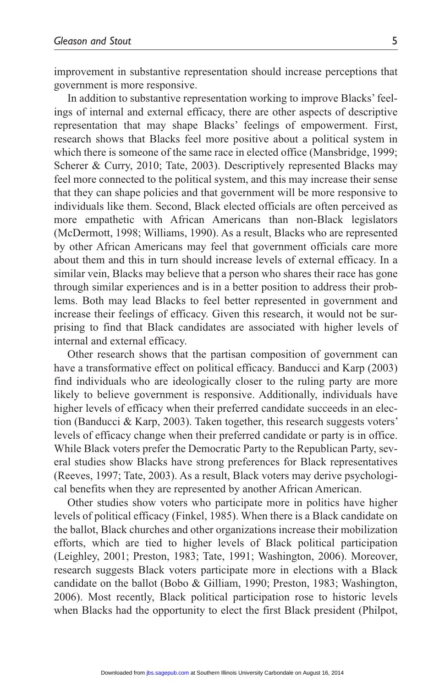improvement in substantive representation should increase perceptions that government is more responsive.

In addition to substantive representation working to improve Blacks' feelings of internal and external efficacy, there are other aspects of descriptive representation that may shape Blacks' feelings of empowerment. First, research shows that Blacks feel more positive about a political system in which there is someone of the same race in elected office (Mansbridge, 1999; Scherer & Curry, 2010; Tate, 2003). Descriptively represented Blacks may feel more connected to the political system, and this may increase their sense that they can shape policies and that government will be more responsive to individuals like them. Second, Black elected officials are often perceived as more empathetic with African Americans than non-Black legislators (McDermott, 1998; Williams, 1990). As a result, Blacks who are represented by other African Americans may feel that government officials care more about them and this in turn should increase levels of external efficacy. In a similar vein, Blacks may believe that a person who shares their race has gone through similar experiences and is in a better position to address their problems. Both may lead Blacks to feel better represented in government and increase their feelings of efficacy. Given this research, it would not be surprising to find that Black candidates are associated with higher levels of internal and external efficacy.

Other research shows that the partisan composition of government can have a transformative effect on political efficacy. Banducci and Karp (2003) find individuals who are ideologically closer to the ruling party are more likely to believe government is responsive. Additionally, individuals have higher levels of efficacy when their preferred candidate succeeds in an election (Banducci & Karp, 2003). Taken together, this research suggests voters' levels of efficacy change when their preferred candidate or party is in office. While Black voters prefer the Democratic Party to the Republican Party, several studies show Blacks have strong preferences for Black representatives (Reeves, 1997; Tate, 2003). As a result, Black voters may derive psychological benefits when they are represented by another African American.

Other studies show voters who participate more in politics have higher levels of political efficacy (Finkel, 1985). When there is a Black candidate on the ballot, Black churches and other organizations increase their mobilization efforts, which are tied to higher levels of Black political participation (Leighley, 2001; Preston, 1983; Tate, 1991; Washington, 2006). Moreover, research suggests Black voters participate more in elections with a Black candidate on the ballot (Bobo & Gilliam, 1990; Preston, 1983; Washington, 2006). Most recently, Black political participation rose to historic levels when Blacks had the opportunity to elect the first Black president (Philpot,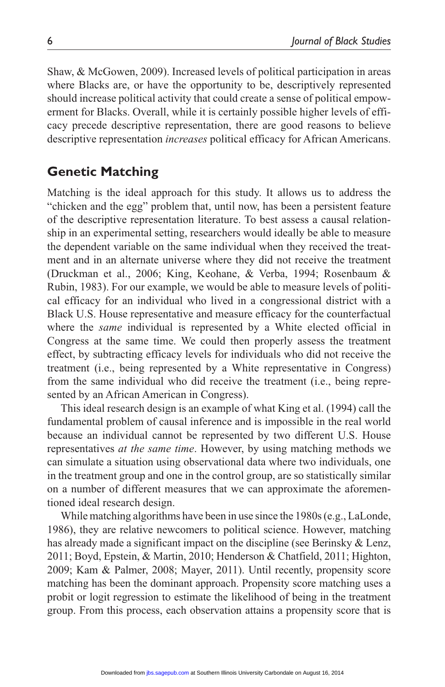Shaw, & McGowen, 2009). Increased levels of political participation in areas where Blacks are, or have the opportunity to be, descriptively represented should increase political activity that could create a sense of political empowerment for Blacks. Overall, while it is certainly possible higher levels of efficacy precede descriptive representation, there are good reasons to believe descriptive representation *increases* political efficacy for African Americans.

# **Genetic Matching**

Matching is the ideal approach for this study. It allows us to address the "chicken and the egg" problem that, until now, has been a persistent feature of the descriptive representation literature. To best assess a causal relationship in an experimental setting, researchers would ideally be able to measure the dependent variable on the same individual when they received the treatment and in an alternate universe where they did not receive the treatment (Druckman et al., 2006; King, Keohane, & Verba, 1994; Rosenbaum & Rubin, 1983). For our example, we would be able to measure levels of political efficacy for an individual who lived in a congressional district with a Black U.S. House representative and measure efficacy for the counterfactual where the *same* individual is represented by a White elected official in Congress at the same time. We could then properly assess the treatment effect, by subtracting efficacy levels for individuals who did not receive the treatment (i.e., being represented by a White representative in Congress) from the same individual who did receive the treatment (i.e., being represented by an African American in Congress).

This ideal research design is an example of what King et al. (1994) call the fundamental problem of causal inference and is impossible in the real world because an individual cannot be represented by two different U.S. House representatives *at the same time*. However, by using matching methods we can simulate a situation using observational data where two individuals, one in the treatment group and one in the control group, are so statistically similar on a number of different measures that we can approximate the aforementioned ideal research design.

While matching algorithms have been in use since the 1980s (e.g., LaLonde, 1986), they are relative newcomers to political science. However, matching has already made a significant impact on the discipline (see Berinsky & Lenz, 2011; Boyd, Epstein, & Martin, 2010; Henderson & Chatfield, 2011; Highton, 2009; Kam & Palmer, 2008; Mayer, 2011). Until recently, propensity score matching has been the dominant approach. Propensity score matching uses a probit or logit regression to estimate the likelihood of being in the treatment group. From this process, each observation attains a propensity score that is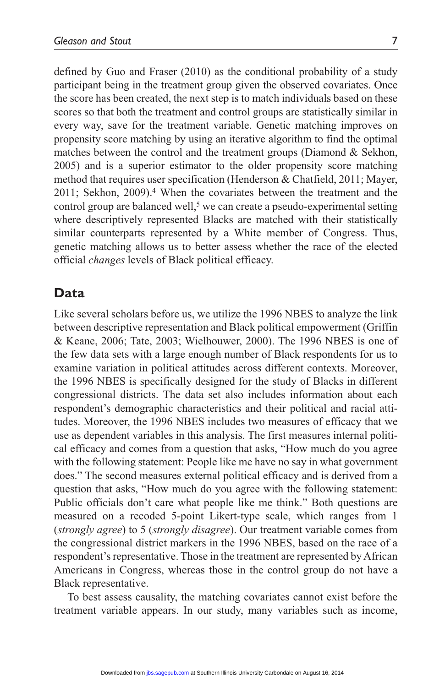defined by Guo and Fraser (2010) as the conditional probability of a study participant being in the treatment group given the observed covariates. Once the score has been created, the next step is to match individuals based on these scores so that both the treatment and control groups are statistically similar in every way, save for the treatment variable. Genetic matching improves on propensity score matching by using an iterative algorithm to find the optimal matches between the control and the treatment groups (Diamond & Sekhon, 2005) and is a superior estimator to the older propensity score matching method that requires user specification (Henderson & Chatfield, 2011; Mayer, 2011; Sekhon, 2009).4 When the covariates between the treatment and the control group are balanced well,<sup>5</sup> we can create a pseudo-experimental setting where descriptively represented Blacks are matched with their statistically similar counterparts represented by a White member of Congress. Thus, genetic matching allows us to better assess whether the race of the elected official *changes* levels of Black political efficacy.

## **Data**

Like several scholars before us, we utilize the 1996 NBES to analyze the link between descriptive representation and Black political empowerment (Griffin & Keane, 2006; Tate, 2003; Wielhouwer, 2000). The 1996 NBES is one of the few data sets with a large enough number of Black respondents for us to examine variation in political attitudes across different contexts. Moreover, the 1996 NBES is specifically designed for the study of Blacks in different congressional districts. The data set also includes information about each respondent's demographic characteristics and their political and racial attitudes. Moreover, the 1996 NBES includes two measures of efficacy that we use as dependent variables in this analysis. The first measures internal political efficacy and comes from a question that asks, "How much do you agree with the following statement: People like me have no say in what government does." The second measures external political efficacy and is derived from a question that asks, "How much do you agree with the following statement: Public officials don't care what people like me think." Both questions are measured on a recoded 5-point Likert-type scale, which ranges from 1 (*strongly agree*) to 5 (*strongly disagree*). Our treatment variable comes from the congressional district markers in the 1996 NBES, based on the race of a respondent's representative. Those in the treatment are represented by African Americans in Congress, whereas those in the control group do not have a Black representative.

To best assess causality, the matching covariates cannot exist before the treatment variable appears. In our study, many variables such as income,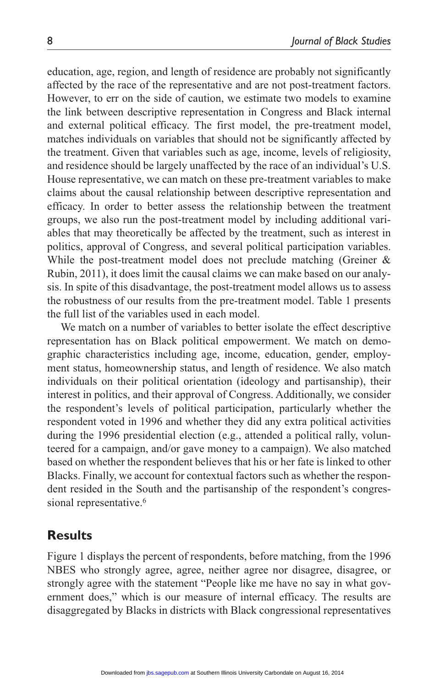education, age, region, and length of residence are probably not significantly affected by the race of the representative and are not post-treatment factors. However, to err on the side of caution, we estimate two models to examine the link between descriptive representation in Congress and Black internal and external political efficacy. The first model, the pre-treatment model, matches individuals on variables that should not be significantly affected by the treatment. Given that variables such as age, income, levels of religiosity, and residence should be largely unaffected by the race of an individual's U.S. House representative, we can match on these pre-treatment variables to make claims about the causal relationship between descriptive representation and efficacy. In order to better assess the relationship between the treatment groups, we also run the post-treatment model by including additional variables that may theoretically be affected by the treatment, such as interest in politics, approval of Congress, and several political participation variables. While the post-treatment model does not preclude matching (Greiner & Rubin, 2011), it does limit the causal claims we can make based on our analysis. In spite of this disadvantage, the post-treatment model allows us to assess the robustness of our results from the pre-treatment model. Table 1 presents the full list of the variables used in each model.

We match on a number of variables to better isolate the effect descriptive representation has on Black political empowerment. We match on demographic characteristics including age, income, education, gender, employment status, homeownership status, and length of residence. We also match individuals on their political orientation (ideology and partisanship), their interest in politics, and their approval of Congress. Additionally, we consider the respondent's levels of political participation, particularly whether the respondent voted in 1996 and whether they did any extra political activities during the 1996 presidential election (e.g., attended a political rally, volunteered for a campaign, and/or gave money to a campaign). We also matched based on whether the respondent believes that his or her fate is linked to other Blacks. Finally, we account for contextual factors such as whether the respondent resided in the South and the partisanship of the respondent's congressional representative.<sup>6</sup>

### **Results**

Figure 1 displays the percent of respondents, before matching, from the 1996 NBES who strongly agree, agree, neither agree nor disagree, disagree, or strongly agree with the statement "People like me have no say in what government does," which is our measure of internal efficacy. The results are disaggregated by Blacks in districts with Black congressional representatives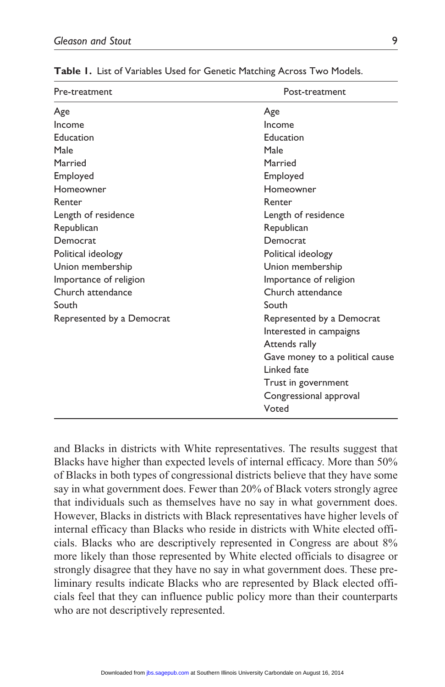| Pre-treatment             | Post-treatment                  |  |
|---------------------------|---------------------------------|--|
| Age                       | Age                             |  |
| Income                    | Income                          |  |
| Education                 | Education                       |  |
| Male                      | Male                            |  |
| Married                   | Married                         |  |
| Employed                  | Employed                        |  |
| Homeowner                 | Homeowner                       |  |
| Renter                    | Renter                          |  |
| Length of residence       | Length of residence             |  |
| Republican                | Republican                      |  |
| Democrat                  | Democrat                        |  |
| Political ideology        | Political ideology              |  |
| Union membership          | Union membership                |  |
| Importance of religion    | Importance of religion          |  |
| Church attendance         | Church attendance               |  |
| South                     | South                           |  |
| Represented by a Democrat | Represented by a Democrat       |  |
|                           | Interested in campaigns         |  |
|                           | Attends rally                   |  |
|                           | Gave money to a political cause |  |
|                           | Linked fate                     |  |
|                           | Trust in government             |  |
|                           | Congressional approval          |  |
|                           | Voted                           |  |

**Table 1.** List of Variables Used for Genetic Matching Across Two Models.

and Blacks in districts with White representatives. The results suggest that Blacks have higher than expected levels of internal efficacy. More than 50% of Blacks in both types of congressional districts believe that they have some say in what government does. Fewer than 20% of Black voters strongly agree that individuals such as themselves have no say in what government does. However, Blacks in districts with Black representatives have higher levels of internal efficacy than Blacks who reside in districts with White elected officials. Blacks who are descriptively represented in Congress are about 8% more likely than those represented by White elected officials to disagree or strongly disagree that they have no say in what government does. These preliminary results indicate Blacks who are represented by Black elected officials feel that they can influence public policy more than their counterparts who are not descriptively represented.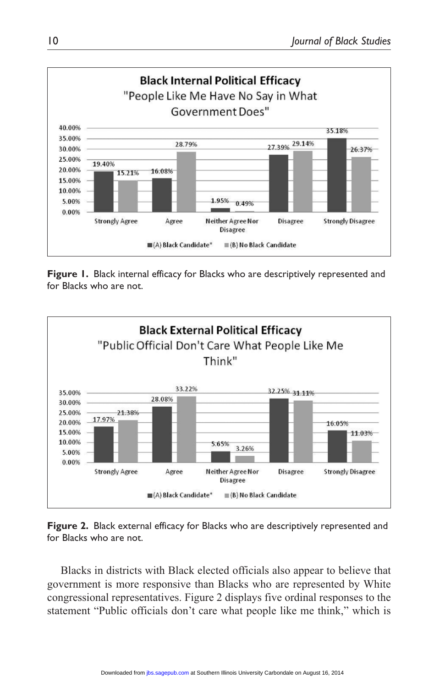

**Figure 1.** Black internal efficacy for Blacks who are descriptively represented and for Blacks who are not.





Blacks in districts with Black elected officials also appear to believe that government is more responsive than Blacks who are represented by White congressional representatives. Figure 2 displays five ordinal responses to the statement "Public officials don't care what people like me think," which is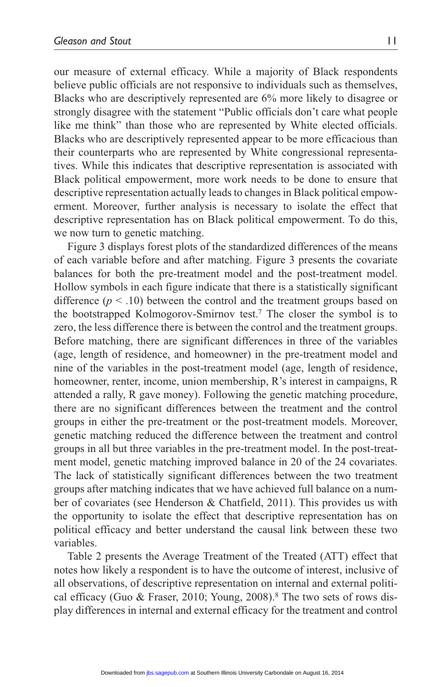our measure of external efficacy. While a majority of Black respondents believe public officials are not responsive to individuals such as themselves, Blacks who are descriptively represented are 6% more likely to disagree or strongly disagree with the statement "Public officials don't care what people like me think" than those who are represented by White elected officials. Blacks who are descriptively represented appear to be more efficacious than their counterparts who are represented by White congressional representatives. While this indicates that descriptive representation is associated with Black political empowerment, more work needs to be done to ensure that descriptive representation actually leads to changes in Black political empowerment. Moreover, further analysis is necessary to isolate the effect that descriptive representation has on Black political empowerment. To do this, we now turn to genetic matching.

Figure 3 displays forest plots of the standardized differences of the means of each variable before and after matching. Figure 3 presents the covariate balances for both the pre-treatment model and the post-treatment model. Hollow symbols in each figure indicate that there is a statistically significant difference  $(p < .10)$  between the control and the treatment groups based on the bootstrapped Kolmogorov-Smirnov test.7 The closer the symbol is to zero, the less difference there is between the control and the treatment groups. Before matching, there are significant differences in three of the variables (age, length of residence, and homeowner) in the pre-treatment model and nine of the variables in the post-treatment model (age, length of residence, homeowner, renter, income, union membership, R's interest in campaigns, R attended a rally, R gave money). Following the genetic matching procedure, there are no significant differences between the treatment and the control groups in either the pre-treatment or the post-treatment models. Moreover, genetic matching reduced the difference between the treatment and control groups in all but three variables in the pre-treatment model. In the post-treatment model, genetic matching improved balance in 20 of the 24 covariates. The lack of statistically significant differences between the two treatment groups after matching indicates that we have achieved full balance on a number of covariates (see Henderson & Chatfield, 2011). This provides us with the opportunity to isolate the effect that descriptive representation has on political efficacy and better understand the causal link between these two variables.

Table 2 presents the Average Treatment of the Treated (ATT) effect that notes how likely a respondent is to have the outcome of interest, inclusive of all observations, of descriptive representation on internal and external political efficacy (Guo & Fraser, 2010; Young, 2008).<sup>8</sup> The two sets of rows display differences in internal and external efficacy for the treatment and control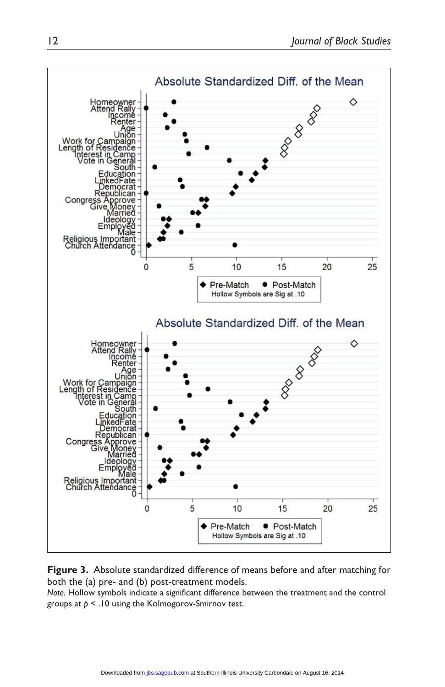

**Figure 3.** Absolute standardized difference of means before and after matching for both the (a) pre- and (b) post-treatment models.

*Note.* Hollow symbols indicate a significant difference between the treatment and the control groups at *p* < .10 using the Kolmogorov-Smirnov test.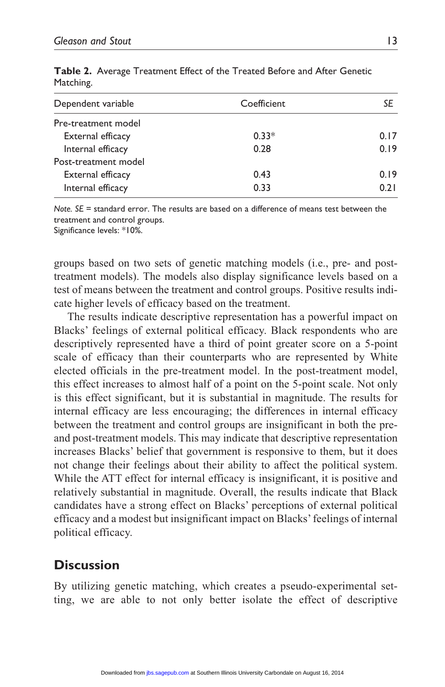| Dependent variable   | Coefficient | SE   |
|----------------------|-------------|------|
| Pre-treatment model  |             |      |
| External efficacy    | $0.33*$     | 0.17 |
| Internal efficacy    | 0.28        | 0.19 |
| Post-treatment model |             |      |
| External efficacy    | 0.43        | 0.19 |
| Internal efficacy    | 0.33        | 0.21 |

**Table 2.** Average Treatment Effect of the Treated Before and After Genetic Matching.

*Note. SE* = standard error. The results are based on a difference of means test between the treatment and control groups.

Significance levels: \*10%.

groups based on two sets of genetic matching models (i.e., pre- and posttreatment models). The models also display significance levels based on a test of means between the treatment and control groups. Positive results indicate higher levels of efficacy based on the treatment.

The results indicate descriptive representation has a powerful impact on Blacks' feelings of external political efficacy. Black respondents who are descriptively represented have a third of point greater score on a 5-point scale of efficacy than their counterparts who are represented by White elected officials in the pre-treatment model. In the post-treatment model, this effect increases to almost half of a point on the 5-point scale. Not only is this effect significant, but it is substantial in magnitude. The results for internal efficacy are less encouraging; the differences in internal efficacy between the treatment and control groups are insignificant in both the preand post-treatment models. This may indicate that descriptive representation increases Blacks' belief that government is responsive to them, but it does not change their feelings about their ability to affect the political system. While the ATT effect for internal efficacy is insignificant, it is positive and relatively substantial in magnitude. Overall, the results indicate that Black candidates have a strong effect on Blacks' perceptions of external political efficacy and a modest but insignificant impact on Blacks' feelings of internal political efficacy.

## **Discussion**

By utilizing genetic matching, which creates a pseudo-experimental setting, we are able to not only better isolate the effect of descriptive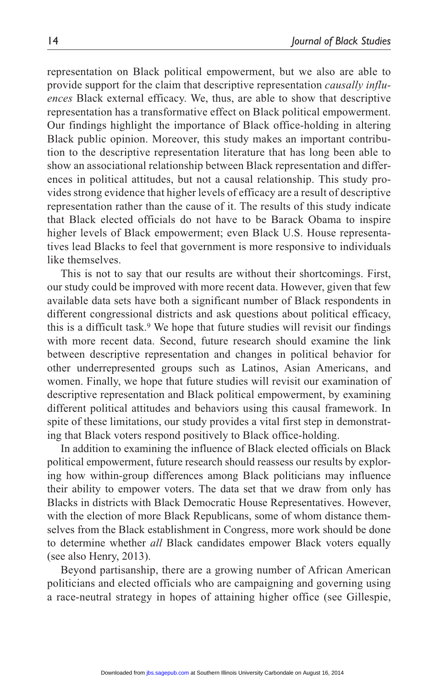representation on Black political empowerment, but we also are able to provide support for the claim that descriptive representation *causally influences* Black external efficacy. We, thus, are able to show that descriptive representation has a transformative effect on Black political empowerment. Our findings highlight the importance of Black office-holding in altering Black public opinion. Moreover, this study makes an important contribution to the descriptive representation literature that has long been able to show an associational relationship between Black representation and differences in political attitudes, but not a causal relationship. This study provides strong evidence that higher levels of efficacy are a result of descriptive representation rather than the cause of it. The results of this study indicate that Black elected officials do not have to be Barack Obama to inspire higher levels of Black empowerment; even Black U.S. House representatives lead Blacks to feel that government is more responsive to individuals like themselves.

This is not to say that our results are without their shortcomings. First, our study could be improved with more recent data. However, given that few available data sets have both a significant number of Black respondents in different congressional districts and ask questions about political efficacy, this is a difficult task.<sup>9</sup> We hope that future studies will revisit our findings with more recent data. Second, future research should examine the link between descriptive representation and changes in political behavior for other underrepresented groups such as Latinos, Asian Americans, and women. Finally, we hope that future studies will revisit our examination of descriptive representation and Black political empowerment, by examining different political attitudes and behaviors using this causal framework. In spite of these limitations, our study provides a vital first step in demonstrating that Black voters respond positively to Black office-holding.

In addition to examining the influence of Black elected officials on Black political empowerment, future research should reassess our results by exploring how within-group differences among Black politicians may influence their ability to empower voters. The data set that we draw from only has Blacks in districts with Black Democratic House Representatives. However, with the election of more Black Republicans, some of whom distance themselves from the Black establishment in Congress, more work should be done to determine whether *all* Black candidates empower Black voters equally (see also Henry, 2013).

Beyond partisanship, there are a growing number of African American politicians and elected officials who are campaigning and governing using a race-neutral strategy in hopes of attaining higher office (see Gillespie,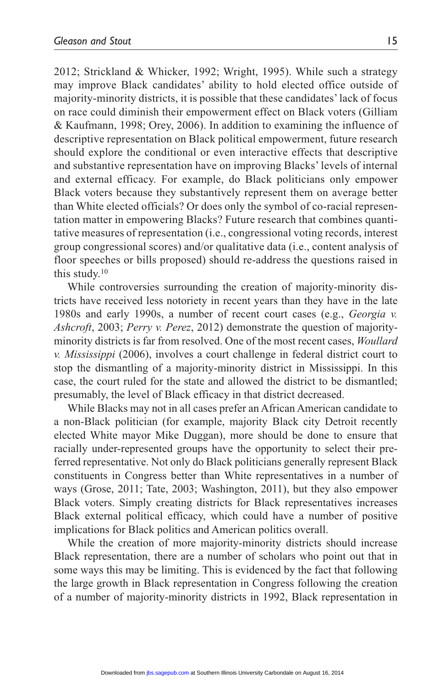2012; Strickland & Whicker, 1992; Wright, 1995). While such a strategy may improve Black candidates' ability to hold elected office outside of majority-minority districts, it is possible that these candidates' lack of focus on race could diminish their empowerment effect on Black voters (Gilliam & Kaufmann, 1998; Orey, 2006). In addition to examining the influence of descriptive representation on Black political empowerment, future research should explore the conditional or even interactive effects that descriptive and substantive representation have on improving Blacks' levels of internal and external efficacy. For example, do Black politicians only empower Black voters because they substantively represent them on average better than White elected officials? Or does only the symbol of co-racial representation matter in empowering Blacks? Future research that combines quantitative measures of representation (i.e., congressional voting records, interest group congressional scores) and/or qualitative data (i.e., content analysis of floor speeches or bills proposed) should re-address the questions raised in this study.10

While controversies surrounding the creation of majority-minority districts have received less notoriety in recent years than they have in the late 1980s and early 1990s, a number of recent court cases (e.g., *Georgia v. Ashcroft*, 2003; *Perry v. Perez*, 2012) demonstrate the question of majorityminority districts is far from resolved. One of the most recent cases, *Woullard v. Mississippi* (2006), involves a court challenge in federal district court to stop the dismantling of a majority-minority district in Mississippi. In this case, the court ruled for the state and allowed the district to be dismantled; presumably, the level of Black efficacy in that district decreased.

While Blacks may not in all cases prefer an African American candidate to a non-Black politician (for example, majority Black city Detroit recently elected White mayor Mike Duggan), more should be done to ensure that racially under-represented groups have the opportunity to select their preferred representative. Not only do Black politicians generally represent Black constituents in Congress better than White representatives in a number of ways (Grose, 2011; Tate, 2003; Washington, 2011), but they also empower Black voters. Simply creating districts for Black representatives increases Black external political efficacy, which could have a number of positive implications for Black politics and American politics overall.

While the creation of more majority-minority districts should increase Black representation, there are a number of scholars who point out that in some ways this may be limiting. This is evidenced by the fact that following the large growth in Black representation in Congress following the creation of a number of majority-minority districts in 1992, Black representation in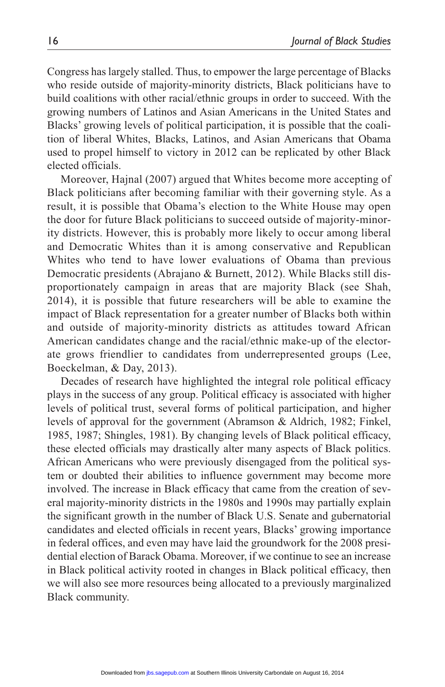Congress has largely stalled. Thus, to empower the large percentage of Blacks who reside outside of majority-minority districts, Black politicians have to build coalitions with other racial/ethnic groups in order to succeed. With the growing numbers of Latinos and Asian Americans in the United States and Blacks' growing levels of political participation, it is possible that the coalition of liberal Whites, Blacks, Latinos, and Asian Americans that Obama used to propel himself to victory in 2012 can be replicated by other Black elected officials.

Moreover, Hajnal (2007) argued that Whites become more accepting of Black politicians after becoming familiar with their governing style. As a result, it is possible that Obama's election to the White House may open the door for future Black politicians to succeed outside of majority-minority districts. However, this is probably more likely to occur among liberal and Democratic Whites than it is among conservative and Republican Whites who tend to have lower evaluations of Obama than previous Democratic presidents (Abrajano & Burnett, 2012). While Blacks still disproportionately campaign in areas that are majority Black (see Shah, 2014), it is possible that future researchers will be able to examine the impact of Black representation for a greater number of Blacks both within and outside of majority-minority districts as attitudes toward African American candidates change and the racial/ethnic make-up of the electorate grows friendlier to candidates from underrepresented groups (Lee, Boeckelman, & Day, 2013).

Decades of research have highlighted the integral role political efficacy plays in the success of any group. Political efficacy is associated with higher levels of political trust, several forms of political participation, and higher levels of approval for the government (Abramson & Aldrich, 1982; Finkel, 1985, 1987; Shingles, 1981). By changing levels of Black political efficacy, these elected officials may drastically alter many aspects of Black politics. African Americans who were previously disengaged from the political system or doubted their abilities to influence government may become more involved. The increase in Black efficacy that came from the creation of several majority-minority districts in the 1980s and 1990s may partially explain the significant growth in the number of Black U.S. Senate and gubernatorial candidates and elected officials in recent years, Blacks' growing importance in federal offices, and even may have laid the groundwork for the 2008 presidential election of Barack Obama. Moreover, if we continue to see an increase in Black political activity rooted in changes in Black political efficacy, then we will also see more resources being allocated to a previously marginalized Black community.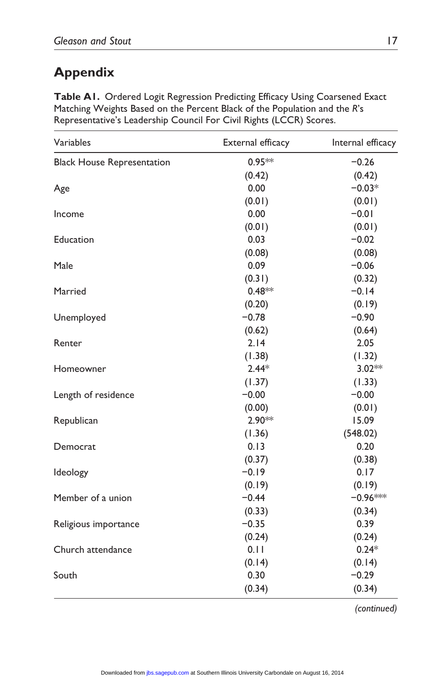# **Appendix**

| $0.95**$<br>$-0.26$<br><b>Black House Representation</b><br>(0.42)<br>(0.42)<br>0.00<br>$-0.03*$<br>(0.01)<br>(0.01)<br>0.00<br>$-0.01$<br>Income<br>(0.01)<br>(0.01)<br>0.03<br>$-0.02$<br>Education<br>(0.08)<br>(0.08)<br>0.09<br>$-0.06$<br>Male<br>(0.31)<br>(0.32)<br>$0.48**$<br>$-0.14$<br>Married<br>(0.19)<br>(0.20)<br>$-0.78$<br>$-0.90$<br>Unemployed<br>(0.62)<br>(0.64)<br>2.14<br>2.05<br>Renter<br>(1.38)<br>(1.32)<br>$2.44*$<br>3.02**<br>Homeowner<br>(1.37)<br>(1.33)<br>$-0.00$<br>$-0.00$<br>Length of residence<br>(0.00)<br>(0.01)<br>2.90**<br>15.09<br>Republican<br>(1.36)<br>(548.02)<br>0.13<br>0.20<br>Democrat<br>(0.37)<br>(0.38)<br>$-0.19$<br>0.17<br>Ideology<br>(0.19)<br>(0.19)<br>$-0.44$<br>$-0.96***$<br>Member of a union<br>(0.33)<br>(0.34)<br>$-0.35$<br>0.39<br>(0.24)<br>(0.24)<br>$0.24*$<br>0.11<br>(0.14)<br>(0.14)<br>0.30<br>$-0.29$<br>(0.34)<br>(0.34) | Variables            | External efficacy | Internal efficacy |
|--------------------------------------------------------------------------------------------------------------------------------------------------------------------------------------------------------------------------------------------------------------------------------------------------------------------------------------------------------------------------------------------------------------------------------------------------------------------------------------------------------------------------------------------------------------------------------------------------------------------------------------------------------------------------------------------------------------------------------------------------------------------------------------------------------------------------------------------------------------------------------------------------------------|----------------------|-------------------|-------------------|
|                                                                                                                                                                                                                                                                                                                                                                                                                                                                                                                                                                                                                                                                                                                                                                                                                                                                                                              |                      |                   |                   |
|                                                                                                                                                                                                                                                                                                                                                                                                                                                                                                                                                                                                                                                                                                                                                                                                                                                                                                              |                      |                   |                   |
|                                                                                                                                                                                                                                                                                                                                                                                                                                                                                                                                                                                                                                                                                                                                                                                                                                                                                                              | Age                  |                   |                   |
|                                                                                                                                                                                                                                                                                                                                                                                                                                                                                                                                                                                                                                                                                                                                                                                                                                                                                                              |                      |                   |                   |
|                                                                                                                                                                                                                                                                                                                                                                                                                                                                                                                                                                                                                                                                                                                                                                                                                                                                                                              |                      |                   |                   |
|                                                                                                                                                                                                                                                                                                                                                                                                                                                                                                                                                                                                                                                                                                                                                                                                                                                                                                              |                      |                   |                   |
|                                                                                                                                                                                                                                                                                                                                                                                                                                                                                                                                                                                                                                                                                                                                                                                                                                                                                                              |                      |                   |                   |
|                                                                                                                                                                                                                                                                                                                                                                                                                                                                                                                                                                                                                                                                                                                                                                                                                                                                                                              |                      |                   |                   |
|                                                                                                                                                                                                                                                                                                                                                                                                                                                                                                                                                                                                                                                                                                                                                                                                                                                                                                              |                      |                   |                   |
|                                                                                                                                                                                                                                                                                                                                                                                                                                                                                                                                                                                                                                                                                                                                                                                                                                                                                                              |                      |                   |                   |
|                                                                                                                                                                                                                                                                                                                                                                                                                                                                                                                                                                                                                                                                                                                                                                                                                                                                                                              |                      |                   |                   |
|                                                                                                                                                                                                                                                                                                                                                                                                                                                                                                                                                                                                                                                                                                                                                                                                                                                                                                              |                      |                   |                   |
|                                                                                                                                                                                                                                                                                                                                                                                                                                                                                                                                                                                                                                                                                                                                                                                                                                                                                                              |                      |                   |                   |
|                                                                                                                                                                                                                                                                                                                                                                                                                                                                                                                                                                                                                                                                                                                                                                                                                                                                                                              |                      |                   |                   |
|                                                                                                                                                                                                                                                                                                                                                                                                                                                                                                                                                                                                                                                                                                                                                                                                                                                                                                              |                      |                   |                   |
|                                                                                                                                                                                                                                                                                                                                                                                                                                                                                                                                                                                                                                                                                                                                                                                                                                                                                                              |                      |                   |                   |
|                                                                                                                                                                                                                                                                                                                                                                                                                                                                                                                                                                                                                                                                                                                                                                                                                                                                                                              |                      |                   |                   |
|                                                                                                                                                                                                                                                                                                                                                                                                                                                                                                                                                                                                                                                                                                                                                                                                                                                                                                              |                      |                   |                   |
|                                                                                                                                                                                                                                                                                                                                                                                                                                                                                                                                                                                                                                                                                                                                                                                                                                                                                                              |                      |                   |                   |
|                                                                                                                                                                                                                                                                                                                                                                                                                                                                                                                                                                                                                                                                                                                                                                                                                                                                                                              |                      |                   |                   |
|                                                                                                                                                                                                                                                                                                                                                                                                                                                                                                                                                                                                                                                                                                                                                                                                                                                                                                              |                      |                   |                   |
|                                                                                                                                                                                                                                                                                                                                                                                                                                                                                                                                                                                                                                                                                                                                                                                                                                                                                                              |                      |                   |                   |
|                                                                                                                                                                                                                                                                                                                                                                                                                                                                                                                                                                                                                                                                                                                                                                                                                                                                                                              |                      |                   |                   |
|                                                                                                                                                                                                                                                                                                                                                                                                                                                                                                                                                                                                                                                                                                                                                                                                                                                                                                              |                      |                   |                   |
|                                                                                                                                                                                                                                                                                                                                                                                                                                                                                                                                                                                                                                                                                                                                                                                                                                                                                                              |                      |                   |                   |
|                                                                                                                                                                                                                                                                                                                                                                                                                                                                                                                                                                                                                                                                                                                                                                                                                                                                                                              |                      |                   |                   |
|                                                                                                                                                                                                                                                                                                                                                                                                                                                                                                                                                                                                                                                                                                                                                                                                                                                                                                              |                      |                   |                   |
|                                                                                                                                                                                                                                                                                                                                                                                                                                                                                                                                                                                                                                                                                                                                                                                                                                                                                                              |                      |                   |                   |
|                                                                                                                                                                                                                                                                                                                                                                                                                                                                                                                                                                                                                                                                                                                                                                                                                                                                                                              | Religious importance |                   |                   |
|                                                                                                                                                                                                                                                                                                                                                                                                                                                                                                                                                                                                                                                                                                                                                                                                                                                                                                              |                      |                   |                   |
|                                                                                                                                                                                                                                                                                                                                                                                                                                                                                                                                                                                                                                                                                                                                                                                                                                                                                                              | Church attendance    |                   |                   |
|                                                                                                                                                                                                                                                                                                                                                                                                                                                                                                                                                                                                                                                                                                                                                                                                                                                                                                              |                      |                   |                   |
|                                                                                                                                                                                                                                                                                                                                                                                                                                                                                                                                                                                                                                                                                                                                                                                                                                                                                                              | South                |                   |                   |
|                                                                                                                                                                                                                                                                                                                                                                                                                                                                                                                                                                                                                                                                                                                                                                                                                                                                                                              |                      |                   |                   |

**Table A1.** Ordered Logit Regression Predicting Efficacy Using Coarsened Exact Matching Weights Based on the Percent Black of the Population and the *R*'s Representative's Leadership Council For Civil Rights (LCCR) Scores.

*(continued)*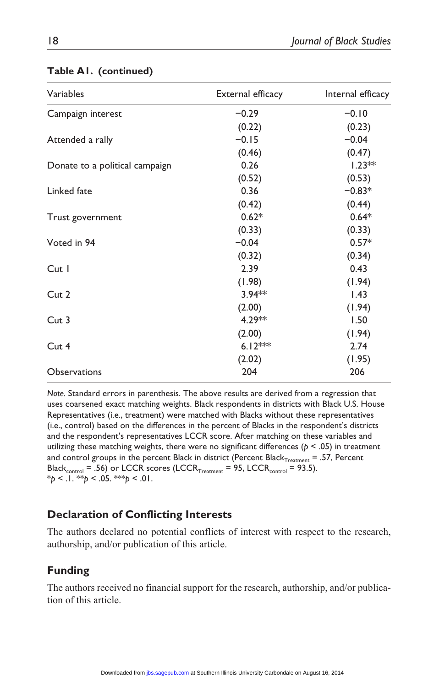| Variables                      | External efficacy | Internal efficacy |
|--------------------------------|-------------------|-------------------|
| Campaign interest              | $-0.29$           | $-0.10$           |
|                                | (0.22)            | (0.23)            |
| Attended a rally               | $-0.15$           | $-0.04$           |
|                                | (0.46)            | (0.47)            |
| Donate to a political campaign | 0.26              | $1.23**$          |
|                                | (0.52)            | (0.53)            |
| Linked fate                    | 0.36              | $-0.83*$          |
|                                | (0.42)            | (0.44)            |
| Trust government               | $0.62*$           | $0.64*$           |
|                                | (0.33)            | (0.33)            |
| Voted in 94                    | $-0.04$           | $0.57*$           |
|                                | (0.32)            | (0.34)            |
| Cut I                          | 2.39              | 0.43              |
|                                | (1.98)            | (1.94)            |
| Cut 2                          | $3.94**$          | 1.43              |
|                                | (2.00)            | (1.94)            |
| Cut 3                          | 4.29**            | 1.50              |
|                                | (2.00)            | (1.94)            |
| Cut 4                          | $6.12***$         | 2.74              |
|                                | (2.02)            | (1.95)            |
| Observations                   | 204               | 206               |
|                                |                   |                   |

#### **Table A1. (continued)**

*Note.* Standard errors in parenthesis. The above results are derived from a regression that uses coarsened exact matching weights. Black respondents in districts with Black U.S. House Representatives (i.e., treatment) were matched with Blacks without these representatives (i.e., control) based on the differences in the percent of Blacks in the respondent's districts and the respondent's representatives LCCR score. After matching on these variables and utilizing these matching weights, there were no significant differences ( $p < .05$ ) in treatment and control groups in the percent Black in district (Percent Black $_{Treatment} = .57$ , Percent Black<sub>control</sub> = .56) or LCCR scores (LCCR<sub>Treatment</sub> = 95, LCCR<sub>control</sub> = 93.5). \**p* < .1. \*\**p* < .05. \*\*\**p* < .01.

#### **Declaration of Conflicting Interests**

The authors declared no potential conflicts of interest with respect to the research, authorship, and/or publication of this article.

#### **Funding**

The authors received no financial support for the research, authorship, and/or publication of this article.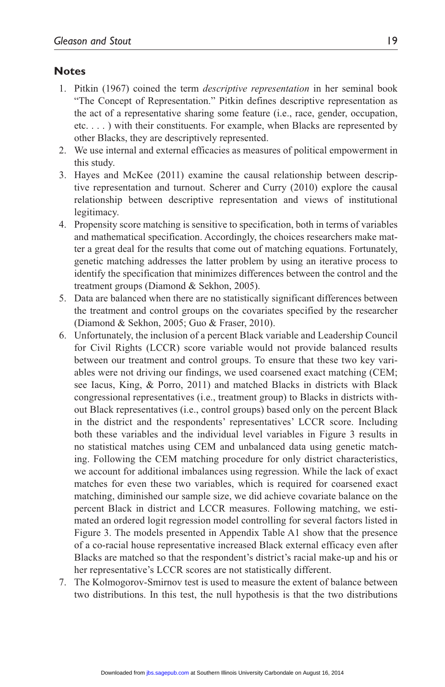#### **Notes**

- 1. Pitkin (1967) coined the term *descriptive representation* in her seminal book "The Concept of Representation." Pitkin defines descriptive representation as the act of a representative sharing some feature (i.e., race, gender, occupation, etc. . . . ) with their constituents. For example, when Blacks are represented by other Blacks, they are descriptively represented.
- 2. We use internal and external efficacies as measures of political empowerment in this study.
- 3. Hayes and McKee (2011) examine the causal relationship between descriptive representation and turnout. Scherer and Curry (2010) explore the causal relationship between descriptive representation and views of institutional legitimacy.
- 4. Propensity score matching is sensitive to specification, both in terms of variables and mathematical specification. Accordingly, the choices researchers make matter a great deal for the results that come out of matching equations. Fortunately, genetic matching addresses the latter problem by using an iterative process to identify the specification that minimizes differences between the control and the treatment groups (Diamond & Sekhon, 2005).
- 5. Data are balanced when there are no statistically significant differences between the treatment and control groups on the covariates specified by the researcher (Diamond & Sekhon, 2005; Guo & Fraser, 2010).
- 6. Unfortunately, the inclusion of a percent Black variable and Leadership Council for Civil Rights (LCCR) score variable would not provide balanced results between our treatment and control groups. To ensure that these two key variables were not driving our findings, we used coarsened exact matching (CEM; see Iacus, King, & Porro, 2011) and matched Blacks in districts with Black congressional representatives (i.e., treatment group) to Blacks in districts without Black representatives (i.e., control groups) based only on the percent Black in the district and the respondents' representatives' LCCR score. Including both these variables and the individual level variables in Figure 3 results in no statistical matches using CEM and unbalanced data using genetic matching. Following the CEM matching procedure for only district characteristics, we account for additional imbalances using regression. While the lack of exact matches for even these two variables, which is required for coarsened exact matching, diminished our sample size, we did achieve covariate balance on the percent Black in district and LCCR measures. Following matching, we estimated an ordered logit regression model controlling for several factors listed in Figure 3. The models presented in Appendix Table A1 show that the presence of a co-racial house representative increased Black external efficacy even after Blacks are matched so that the respondent's district's racial make-up and his or her representative's LCCR scores are not statistically different.
- 7. The Kolmogorov-Smirnov test is used to measure the extent of balance between two distributions. In this test, the null hypothesis is that the two distributions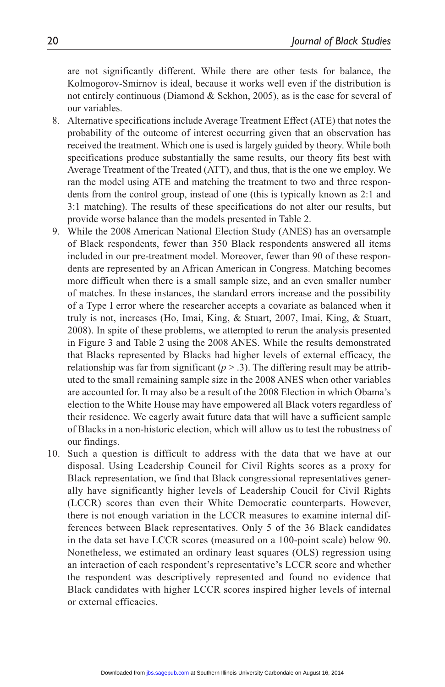are not significantly different. While there are other tests for balance, the Kolmogorov-Smirnov is ideal, because it works well even if the distribution is not entirely continuous (Diamond & Sekhon, 2005), as is the case for several of our variables.

- 8. Alternative specifications include Average Treatment Effect (ATE) that notes the probability of the outcome of interest occurring given that an observation has received the treatment. Which one is used is largely guided by theory. While both specifications produce substantially the same results, our theory fits best with Average Treatment of the Treated (ATT), and thus, that is the one we employ. We ran the model using ATE and matching the treatment to two and three respondents from the control group, instead of one (this is typically known as 2:1 and 3:1 matching). The results of these specifications do not alter our results, but provide worse balance than the models presented in Table 2.
- 9. While the 2008 American National Election Study (ANES) has an oversample of Black respondents, fewer than 350 Black respondents answered all items included in our pre-treatment model. Moreover, fewer than 90 of these respondents are represented by an African American in Congress. Matching becomes more difficult when there is a small sample size, and an even smaller number of matches. In these instances, the standard errors increase and the possibility of a Type I error where the researcher accepts a covariate as balanced when it truly is not, increases (Ho, Imai, King, & Stuart, 2007, Imai, King, & Stuart, 2008). In spite of these problems, we attempted to rerun the analysis presented in Figure 3 and Table 2 using the 2008 ANES. While the results demonstrated that Blacks represented by Blacks had higher levels of external efficacy, the relationship was far from significant  $(p > .3)$ . The differing result may be attributed to the small remaining sample size in the 2008 ANES when other variables are accounted for. It may also be a result of the 2008 Election in which Obama's election to the White House may have empowered all Black voters regardless of their residence. We eagerly await future data that will have a sufficient sample of Blacks in a non-historic election, which will allow us to test the robustness of our findings.
- 10. Such a question is difficult to address with the data that we have at our disposal. Using Leadership Council for Civil Rights scores as a proxy for Black representation, we find that Black congressional representatives generally have significantly higher levels of Leadership Coucil for Civil Rights (LCCR) scores than even their White Democratic counterparts. However, there is not enough variation in the LCCR measures to examine internal differences between Black representatives. Only 5 of the 36 Black candidates in the data set have LCCR scores (measured on a 100-point scale) below 90. Nonetheless, we estimated an ordinary least squares (OLS) regression using an interaction of each respondent's representative's LCCR score and whether the respondent was descriptively represented and found no evidence that Black candidates with higher LCCR scores inspired higher levels of internal or external efficacies.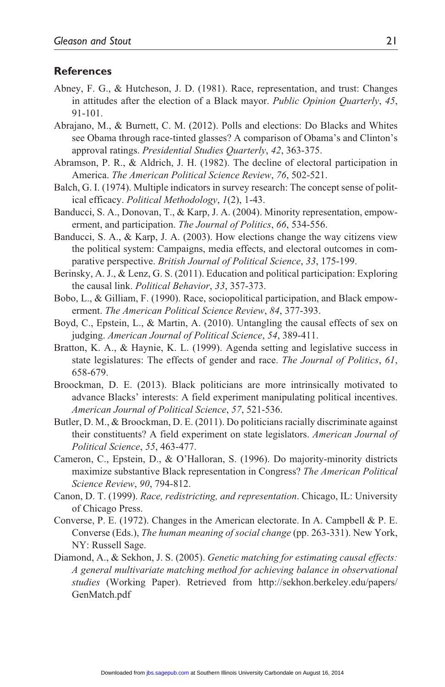#### **References**

- Abney, F. G., & Hutcheson, J. D. (1981). Race, representation, and trust: Changes in attitudes after the election of a Black mayor. *Public Opinion Quarterly*, *45*, 91-101.
- Abrajano, M., & Burnett, C. M. (2012). Polls and elections: Do Blacks and Whites see Obama through race-tinted glasses? A comparison of Obama's and Clinton's approval ratings. *Presidential Studies Quarterly*, *42*, 363-375.
- Abramson, P. R., & Aldrich, J. H. (1982). The decline of electoral participation in America. *The American Political Science Review*, *76*, 502-521.
- Balch, G. I. (1974). Multiple indicators in survey research: The concept sense of political efficacy. *Political Methodology*, *1*(2), 1-43.
- Banducci, S. A., Donovan, T., & Karp, J. A. (2004). Minority representation, empowerment, and participation. *The Journal of Politics*, *66*, 534-556.
- Banducci, S. A., & Karp, J. A. (2003). How elections change the way citizens view the political system: Campaigns, media effects, and electoral outcomes in comparative perspective. *British Journal of Political Science*, *33*, 175-199.
- Berinsky, A. J., & Lenz, G. S. (2011). Education and political participation: Exploring the causal link. *Political Behavior*, *33*, 357-373.
- Bobo, L., & Gilliam, F. (1990). Race, sociopolitical participation, and Black empowerment. *The American Political Science Review*, *84*, 377-393.
- Boyd, C., Epstein, L., & Martin, A. (2010). Untangling the causal effects of sex on judging. *American Journal of Political Science*, *54*, 389-411.
- Bratton, K. A., & Haynie, K. L. (1999). Agenda setting and legislative success in state legislatures: The effects of gender and race. *The Journal of Politics*, *61*, 658-679.
- Broockman, D. E. (2013). Black politicians are more intrinsically motivated to advance Blacks' interests: A field experiment manipulating political incentives. *American Journal of Political Science*, *57*, 521-536.
- Butler, D. M., & Broockman, D. E. (2011). Do politicians racially discriminate against their constituents? A field experiment on state legislators. *American Journal of Political Science*, *55*, 463-477.
- Cameron, C., Epstein, D., & O'Halloran, S. (1996). Do majority-minority districts maximize substantive Black representation in Congress? *The American Political Science Review*, *90*, 794-812.
- Canon, D. T. (1999). *Race, redistricting, and representation*. Chicago, IL: University of Chicago Press.
- Converse, P. E. (1972). Changes in the American electorate. In A. Campbell & P. E. Converse (Eds.), *The human meaning of social change* (pp. 263-331). New York, NY: Russell Sage.
- Diamond, A., & Sekhon, J. S. (2005). *Genetic matching for estimating causal effects: A general multivariate matching method for achieving balance in observational studies* (Working Paper). Retrieved from [http://sekhon.berkeley.edu/papers/](http://sekhon.berkeley.edu/papers/GenMatch.pdf) [GenMatch.pdf](http://sekhon.berkeley.edu/papers/GenMatch.pdf)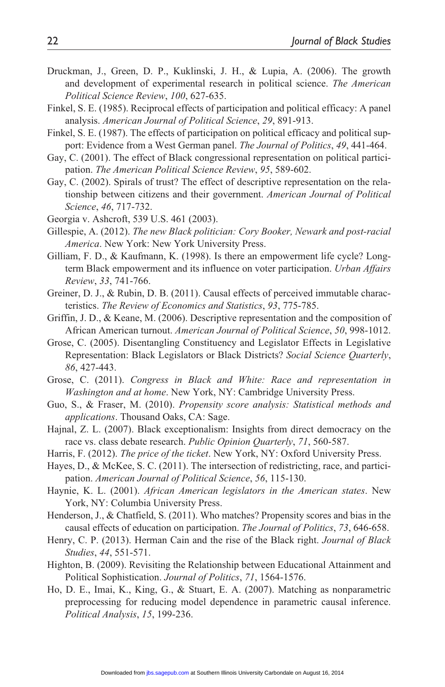- Druckman, J., Green, D. P., Kuklinski, J. H., & Lupia, A. (2006). The growth and development of experimental research in political science. *The American Political Science Review*, *100*, 627-635.
- Finkel, S. E. (1985). Reciprocal effects of participation and political efficacy: A panel analysis. *American Journal of Political Science*, *29*, 891-913.
- Finkel, S. E. (1987). The effects of participation on political efficacy and political support: Evidence from a West German panel. *The Journal of Politics*, *49*, 441-464.
- Gay, C. (2001). The effect of Black congressional representation on political participation. *The American Political Science Review*, *95*, 589-602.
- Gay, C. (2002). Spirals of trust? The effect of descriptive representation on the relationship between citizens and their government. *American Journal of Political Science*, *46*, 717-732.
- Georgia v. Ashcroft, 539 U.S. 461 (2003).
- Gillespie, A. (2012). *The new Black politician: Cory Booker, Newark and post-racial America*. New York: New York University Press.
- Gilliam, F. D., & Kaufmann, K. (1998). Is there an empowerment life cycle? Longterm Black empowerment and its influence on voter participation. *Urban Affairs Review*, *33*, 741-766.
- Greiner, D. J., & Rubin, D. B. (2011). Causal effects of perceived immutable characteristics. *The Review of Economics and Statistics*, *93*, 775-785.
- Griffin, J. D., & Keane, M. (2006). Descriptive representation and the composition of African American turnout. *American Journal of Political Science*, *50*, 998-1012.
- Grose, C. (2005). Disentangling Constituency and Legislator Effects in Legislative Representation: Black Legislators or Black Districts? *Social Science Quarterly*, *86*, 427-443.
- Grose, C. (2011). *Congress in Black and White: Race and representation in Washington and at home*. New York, NY: Cambridge University Press.
- Guo, S., & Fraser, M. (2010). *Propensity score analysis: Statistical methods and applications*. Thousand Oaks, CA: Sage.
- Hajnal, Z. L. (2007). Black exceptionalism: Insights from direct democracy on the race vs. class debate research. *Public Opinion Quarterly*, *71*, 560-587.
- Harris, F. (2012). *The price of the ticket*. New York, NY: Oxford University Press.
- Hayes, D., & McKee, S. C. (2011). The intersection of redistricting, race, and participation. *American Journal of Political Science*, *56*, 115-130.
- Haynie, K. L. (2001). *African American legislators in the American states*. New York, NY: Columbia University Press.
- Henderson, J., & Chatfield, S. (2011). Who matches? Propensity scores and bias in the causal effects of education on participation. *The Journal of Politics*, *73*, 646-658.
- Henry, C. P. (2013). Herman Cain and the rise of the Black right. *Journal of Black Studies*, *44*, 551-571.
- Highton, B. (2009). Revisiting the Relationship between Educational Attainment and Political Sophistication. *Journal of Politics*, *71*, 1564-1576.
- Ho, D. E., Imai, K., King, G., & Stuart, E. A. (2007). Matching as nonparametric preprocessing for reducing model dependence in parametric causal inference. *Political Analysis*, *15*, 199-236.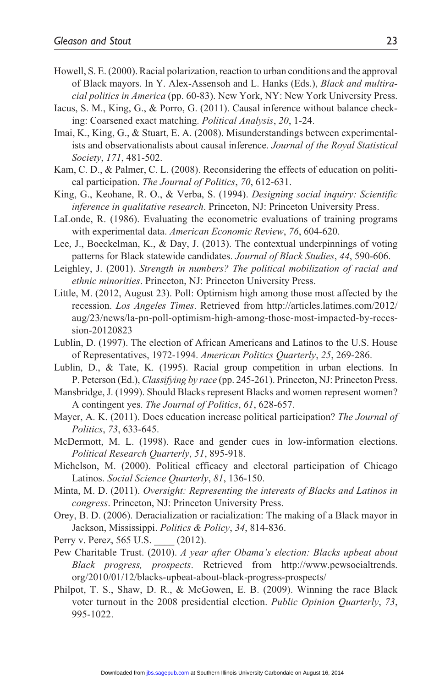- Howell, S. E. (2000). Racial polarization, reaction to urban conditions and the approval of Black mayors. In Y. Alex-Assensoh and L. Hanks (Eds.), *Black and multiracial politics in America* (pp. 60-83). New York, NY: New York University Press.
- Iacus, S. M., King, G., & Porro, G. (2011). Causal inference without balance checking: Coarsened exact matching. *Political Analysis*, *20*, 1-24.
- Imai, K., King, G., & Stuart, E. A. (2008). Misunderstandings between experimentalists and observationalists about causal inference. *Journal of the Royal Statistical Society*, *171*, 481-502.
- Kam, C. D., & Palmer, C. L. (2008). Reconsidering the effects of education on political participation. *The Journal of Politics*, *70*, 612-631.
- King, G., Keohane, R. O., & Verba, S. (1994). *Designing social inquiry: Scientific inference in qualitative research*. Princeton, NJ: Princeton University Press.
- LaLonde, R. (1986). Evaluating the econometric evaluations of training programs with experimental data. *American Economic Review*, *76*, 604-620.
- Lee, J., Boeckelman, K., & Day, J. (2013). The contextual underpinnings of voting patterns for Black statewide candidates. *Journal of Black Studies*, *44*, 590-606.
- Leighley, J. (2001). *Strength in numbers? The political mobilization of racial and ethnic minorities*. Princeton, NJ: Princeton University Press.
- Little, M. (2012, August 23). Poll: Optimism high among those most affected by the recession. *Los Angeles Times*. Retrieved from [http://articles.latimes.com/2012/](http://articles.latimes.com/2012/aug/23/news/la-pn-poll-optimism-high-among-those-most-impacted-by-recession-20120823) [aug/23/news/la-pn-poll-optimism-high-among-those-most-impacted-by-reces](http://articles.latimes.com/2012/aug/23/news/la-pn-poll-optimism-high-among-those-most-impacted-by-recession-20120823)[sion-20120823](http://articles.latimes.com/2012/aug/23/news/la-pn-poll-optimism-high-among-those-most-impacted-by-recession-20120823)
- Lublin, D. (1997). The election of African Americans and Latinos to the U.S. House of Representatives, 1972-1994. *American Politics Quarterly*, *25*, 269-286.
- Lublin, D., & Tate, K. (1995). Racial group competition in urban elections. In P. Peterson (Ed.), *Classifying by race* (pp. 245-261). Princeton, NJ: Princeton Press.
- Mansbridge, J. (1999). Should Blacks represent Blacks and women represent women? A contingent yes. *The Journal of Politics*, *61*, 628-657.
- Mayer, A. K. (2011). Does education increase political participation? *The Journal of Politics*, *73*, 633-645.
- McDermott, M. L. (1998). Race and gender cues in low-information elections. *Political Research Quarterly*, *51*, 895-918.
- Michelson, M. (2000). Political efficacy and electoral participation of Chicago Latinos. *Social Science Quarterly*, *81*, 136-150.
- Minta, M. D. (2011). *Oversight: Representing the interests of Blacks and Latinos in congress*. Princeton, NJ: Princeton University Press.
- Orey, B. D. (2006). Deracialization or racialization: The making of a Black mayor in Jackson, Mississippi. *Politics & Policy*, *34*, 814-836.

Perry v. Perez, 565 U.S. \_\_\_\_\_ (2012).

- Pew Charitable Trust. (2010). *A year after Obama's election: Blacks upbeat about Black progress, prospects*. Retrieved from [http://www.pewsocialtrends.](http://www.pewsocialtrends.org/2010/01/12/blacks-upbeat-about-black-progress-prospects/) [org/2010/01/12/blacks-upbeat-about-black-progress-prospects/](http://www.pewsocialtrends.org/2010/01/12/blacks-upbeat-about-black-progress-prospects/)
- Philpot, T. S., Shaw, D. R., & McGowen, E. B. (2009). Winning the race Black voter turnout in the 2008 presidential election. *Public Opinion Quarterly*, *73*, 995-1022.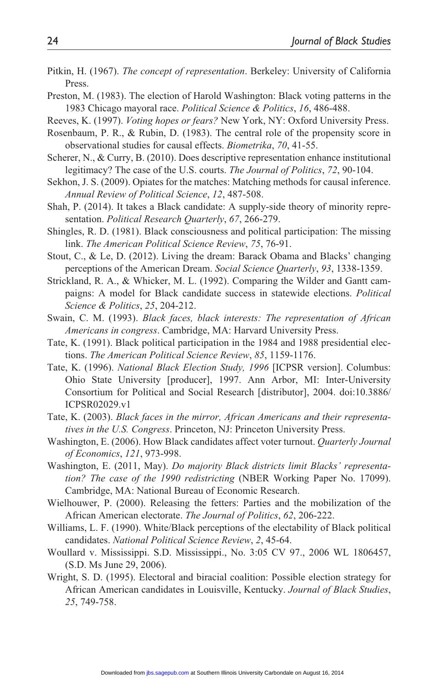- Pitkin, H. (1967). *The concept of representation*. Berkeley: University of California Press.
- Preston, M. (1983). The election of Harold Washington: Black voting patterns in the 1983 Chicago mayoral race. *Political Science & Politics*, *16*, 486-488.
- Reeves, K. (1997). *Voting hopes or fears?* New York, NY: Oxford University Press.
- Rosenbaum, P. R., & Rubin, D. (1983). The central role of the propensity score in observational studies for causal effects. *Biometrika*, *70*, 41-55.
- Scherer, N., & Curry, B. (2010). Does descriptive representation enhance institutional legitimacy? The case of the U.S. courts. *The Journal of Politics*, *72*, 90-104.
- Sekhon, J. S. (2009). Opiates for the matches: Matching methods for causal inference. *Annual Review of Political Science*, *12*, 487-508.
- Shah, P. (2014). It takes a Black candidate: A supply-side theory of minority representation. *Political Research Quarterly*, *67*, 266-279.
- Shingles, R. D. (1981). Black consciousness and political participation: The missing link. *The American Political Science Review*, *75*, 76-91.
- Stout, C., & Le, D. (2012). Living the dream: Barack Obama and Blacks' changing perceptions of the American Dream. *Social Science Quarterly*, *93*, 1338-1359.
- Strickland, R. A., & Whicker, M. L. (1992). Comparing the Wilder and Gantt campaigns: A model for Black candidate success in statewide elections. *Political Science & Politics*, *25*, 204-212.
- Swain, C. M. (1993). *Black faces, black interests: The representation of African Americans in congress*. Cambridge, MA: Harvard University Press.
- Tate, K. (1991). Black political participation in the 1984 and 1988 presidential elections. *The American Political Science Review*, *85*, 1159-1176.
- Tate, K. (1996). *National Black Election Study, 1996* [ICPSR version]. Columbus: Ohio State University [producer], 1997. Ann Arbor, MI: Inter-University Consortium for Political and Social Research [distributor], 2004. doi:10.3886/ ICPSR02029.v1
- Tate, K. (2003). *Black faces in the mirror, African Americans and their representatives in the U.S. Congress*. Princeton, NJ: Princeton University Press.
- Washington, E. (2006). How Black candidates affect voter turnout. *Quarterly Journal of Economics*, *121*, 973-998.
- Washington, E. (2011, May). *Do majority Black districts limit Blacks' representation? The case of the 1990 redistricting* (NBER Working Paper No. 17099). Cambridge, MA: National Bureau of Economic Research.
- Wielhouwer, P. (2000). Releasing the fetters: Parties and the mobilization of the African American electorate. *The Journal of Politics*, *62*, 206-222.
- Williams, L. F. (1990). White/Black perceptions of the electability of Black political candidates. *National Political Science Review*, *2*, 45-64.
- Woullard v. Mississippi. S.D. Mississippi., No. 3:05 CV 97., 2006 WL 1806457, (S.D. Ms June 29, 2006).
- Wright, S. D. (1995). Electoral and biracial coalition: Possible election strategy for African American candidates in Louisville, Kentucky. *Journal of Black Studies*, *25*, 749-758.